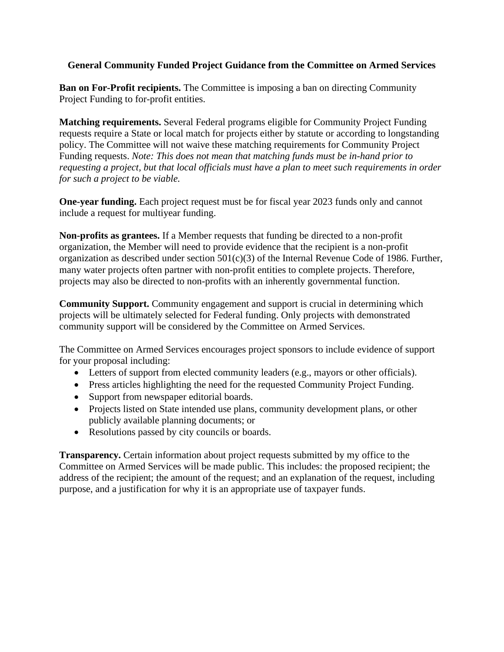## **General Community Funded Project Guidance from the Committee on Armed Services**

**Ban on For-Profit recipients.** The Committee is imposing a ban on directing Community Project Funding to for-profit entities.

**Matching requirements.** Several Federal programs eligible for Community Project Funding requests require a State or local match for projects either by statute or according to longstanding policy. The Committee will not waive these matching requirements for Community Project Funding requests. *Note: This does not mean that matching funds must be in-hand prior to requesting a project, but that local officials must have a plan to meet such requirements in order for such a project to be viable.* 

**One-year funding.** Each project request must be for fiscal year 2023 funds only and cannot include a request for multiyear funding.

**Non-profits as grantees.** If a Member requests that funding be directed to a non-profit organization, the Member will need to provide evidence that the recipient is a non-profit organization as described under section  $501(c)(3)$  of the Internal Revenue Code of 1986. Further, many water projects often partner with non-profit entities to complete projects. Therefore, projects may also be directed to non-profits with an inherently governmental function.

**Community Support.** Community engagement and support is crucial in determining which projects will be ultimately selected for Federal funding. Only projects with demonstrated community support will be considered by the Committee on Armed Services.

The Committee on Armed Services encourages project sponsors to include evidence of support for your proposal including:

- Letters of support from elected community leaders (e.g., mayors or other officials).
- Press articles highlighting the need for the requested Community Project Funding.
- Support from newspaper editorial boards.
- Projects listed on State intended use plans, community development plans, or other publicly available planning documents; or
- Resolutions passed by city councils or boards.

**Transparency.** Certain information about project requests submitted by my office to the Committee on Armed Services will be made public. This includes: the proposed recipient; the address of the recipient; the amount of the request; and an explanation of the request, including purpose, and a justification for why it is an appropriate use of taxpayer funds.